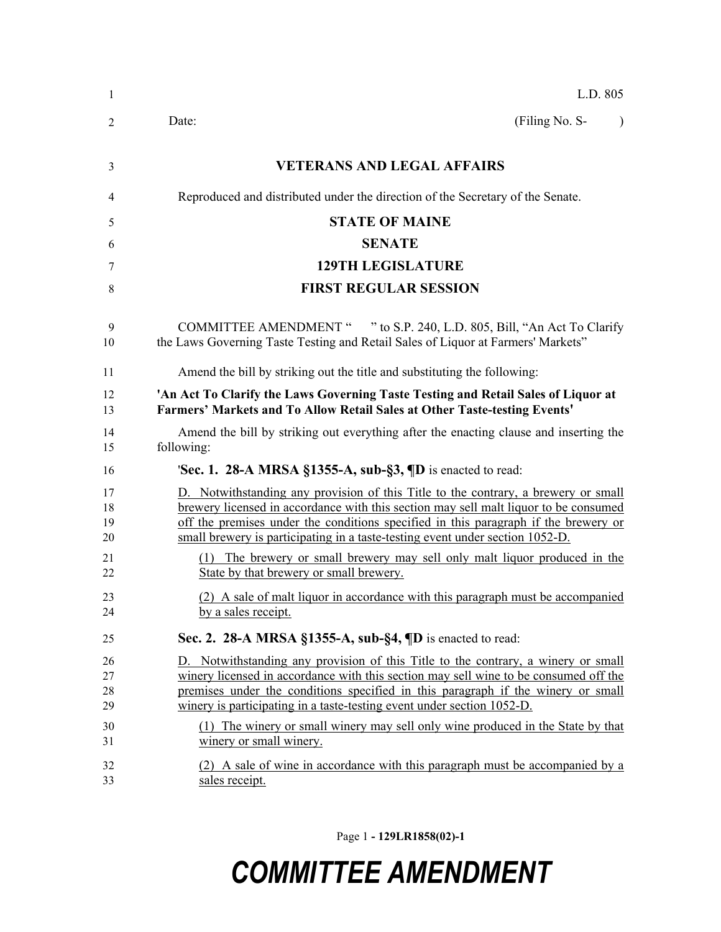| 1                          | L.D. 805                                                                                                                                                                                                                                                                                                                                                                                                                   |
|----------------------------|----------------------------------------------------------------------------------------------------------------------------------------------------------------------------------------------------------------------------------------------------------------------------------------------------------------------------------------------------------------------------------------------------------------------------|
| $\overline{2}$             | (Filing No. S-<br>Date:<br>$\lambda$                                                                                                                                                                                                                                                                                                                                                                                       |
| 3                          | <b>VETERANS AND LEGAL AFFAIRS</b>                                                                                                                                                                                                                                                                                                                                                                                          |
| 4                          | Reproduced and distributed under the direction of the Secretary of the Senate.                                                                                                                                                                                                                                                                                                                                             |
| 5                          | <b>STATE OF MAINE</b>                                                                                                                                                                                                                                                                                                                                                                                                      |
| 6                          | <b>SENATE</b>                                                                                                                                                                                                                                                                                                                                                                                                              |
| 7                          | <b>129TH LEGISLATURE</b>                                                                                                                                                                                                                                                                                                                                                                                                   |
| 8                          | <b>FIRST REGULAR SESSION</b>                                                                                                                                                                                                                                                                                                                                                                                               |
| 9<br>10                    | COMMITTEE AMENDMENT " " to S.P. 240, L.D. 805, Bill, "An Act To Clarify<br>the Laws Governing Taste Testing and Retail Sales of Liquor at Farmers' Markets"                                                                                                                                                                                                                                                                |
| 11                         | Amend the bill by striking out the title and substituting the following:                                                                                                                                                                                                                                                                                                                                                   |
| 12<br>13                   | 'An Act To Clarify the Laws Governing Taste Testing and Retail Sales of Liquor at<br>Farmers' Markets and To Allow Retail Sales at Other Taste-testing Events'                                                                                                                                                                                                                                                             |
| 14<br>15                   | Amend the bill by striking out everything after the enacting clause and inserting the<br>following:                                                                                                                                                                                                                                                                                                                        |
| 16                         | <b>Sec. 1. 28-A MRSA §1355-A, sub-§3, <math>\P</math>D</b> is enacted to read:                                                                                                                                                                                                                                                                                                                                             |
| 17<br>18<br>19<br>20       | D. Notwithstanding any provision of this Title to the contrary, a brewery or small<br>brewery licensed in accordance with this section may sell malt liquor to be consumed<br>off the premises under the conditions specified in this paragraph if the brewery or<br>small brewery is participating in a taste-testing event under section 1052-D.                                                                         |
| 21<br>22                   | (1) The brewery or small brewery may sell only malt liquor produced in the<br>State by that brewery or small brewery.                                                                                                                                                                                                                                                                                                      |
| 23<br>24                   | (2) A sale of malt liquor in accordance with this paragraph must be accompanied<br>by a sales receipt.                                                                                                                                                                                                                                                                                                                     |
| 25                         | Sec. 2. 28-A MRSA §1355-A, sub-§4, ¶D is enacted to read:                                                                                                                                                                                                                                                                                                                                                                  |
| 26<br>27<br>28<br>29<br>30 | D. Notwithstanding any provision of this Title to the contrary, a winery or small<br>winery licensed in accordance with this section may sell wine to be consumed off the<br>premises under the conditions specified in this paragraph if the winery or small<br>winery is participating in a taste-testing event under section 1052-D.<br>(1) The winery or small winery may sell only wine produced in the State by that |
| 31<br>32<br>33             | winery or small winery.<br>(2) A sale of wine in accordance with this paragraph must be accompanied by a<br>sales receipt.                                                                                                                                                                                                                                                                                                 |

Page 1 **- 129LR1858(02)-1**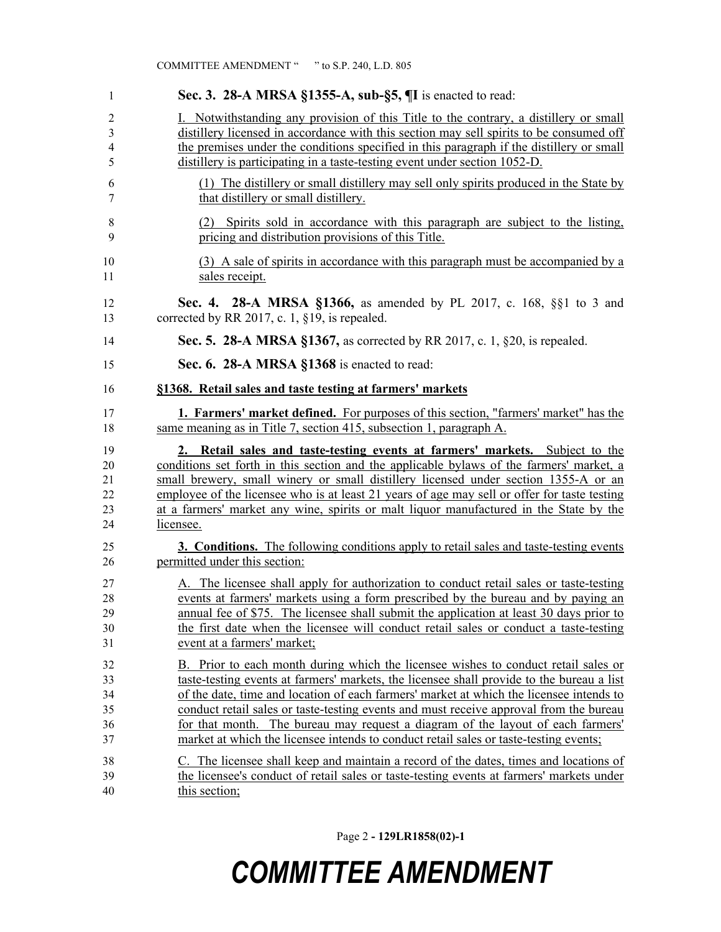| 1                                | Sec. 3. 28-A MRSA §1355-A, sub-§5, ¶I is enacted to read:                                                                                                                                                                                                                                                                                                                                                                                                              |
|----------------------------------|------------------------------------------------------------------------------------------------------------------------------------------------------------------------------------------------------------------------------------------------------------------------------------------------------------------------------------------------------------------------------------------------------------------------------------------------------------------------|
| 2                                | Notwithstanding any provision of this Title to the contrary, a distillery or small                                                                                                                                                                                                                                                                                                                                                                                     |
| 3                                | distillery licensed in accordance with this section may sell spirits to be consumed off                                                                                                                                                                                                                                                                                                                                                                                |
| 4                                | the premises under the conditions specified in this paragraph if the distillery or small                                                                                                                                                                                                                                                                                                                                                                               |
| 5                                | distillery is participating in a taste-testing event under section 1052-D.                                                                                                                                                                                                                                                                                                                                                                                             |
| 6                                | (1) The distillery or small distillery may sell only spirits produced in the State by                                                                                                                                                                                                                                                                                                                                                                                  |
| 7                                | that distillery or small distillery.                                                                                                                                                                                                                                                                                                                                                                                                                                   |
| 8                                | (2) Spirits sold in accordance with this paragraph are subject to the listing,                                                                                                                                                                                                                                                                                                                                                                                         |
| 9                                | pricing and distribution provisions of this Title.                                                                                                                                                                                                                                                                                                                                                                                                                     |
|                                  |                                                                                                                                                                                                                                                                                                                                                                                                                                                                        |
| 10<br>11                         | (3) A sale of spirits in accordance with this paragraph must be accompanied by a<br>sales receipt.                                                                                                                                                                                                                                                                                                                                                                     |
| 12<br>13                         | <b>Sec. 4. 28-A MRSA §1366, as amended by PL 2017, c. 168, §§1 to 3 and</b><br>corrected by RR 2017, c. 1, §19, is repealed.                                                                                                                                                                                                                                                                                                                                           |
| 14                               | Sec. 5. 28-A MRSA §1367, as corrected by RR 2017, c. 1, §20, is repealed.                                                                                                                                                                                                                                                                                                                                                                                              |
| 15                               | Sec. 6. 28-A MRSA §1368 is enacted to read:                                                                                                                                                                                                                                                                                                                                                                                                                            |
| 16                               | §1368. Retail sales and taste testing at farmers' markets                                                                                                                                                                                                                                                                                                                                                                                                              |
| 17<br>18                         | <b>1. Farmers' market defined.</b> For purposes of this section, "farmers' market" has the<br>same meaning as in Title 7, section 415, subsection 1, paragraph A.                                                                                                                                                                                                                                                                                                      |
| 19<br>20<br>21<br>22<br>23<br>24 | 2. Retail sales and taste-testing events at farmers' markets. Subject to the<br>conditions set forth in this section and the applicable bylaws of the farmers' market, a<br>small brewery, small winery or small distillery licensed under section 1355-A or an<br>employee of the licensee who is at least 21 years of age may sell or offer for taste testing<br>at a farmers' market any wine, spirits or malt liquor manufactured in the State by the<br>licensee. |
| 25<br>26                         | <b>3. Conditions.</b> The following conditions apply to retail sales and taste-testing events<br>permitted under this section:                                                                                                                                                                                                                                                                                                                                         |
| 27<br>28                         | A. The licensee shall apply for authorization to conduct retail sales or taste-testing<br>events at farmers' markets using a form prescribed by the bureau and by paying an                                                                                                                                                                                                                                                                                            |
| 29                               | annual fee of \$75. The licensee shall submit the application at least 30 days prior to                                                                                                                                                                                                                                                                                                                                                                                |
| 30                               | the first date when the licensee will conduct retail sales or conduct a taste-testing                                                                                                                                                                                                                                                                                                                                                                                  |
| 31                               | event at a farmers' market;                                                                                                                                                                                                                                                                                                                                                                                                                                            |
| 32                               | B. Prior to each month during which the licensee wishes to conduct retail sales or                                                                                                                                                                                                                                                                                                                                                                                     |
| 33                               | taste-testing events at farmers' markets, the licensee shall provide to the bureau a list                                                                                                                                                                                                                                                                                                                                                                              |
| 34                               | of the date, time and location of each farmers' market at which the licensee intends to                                                                                                                                                                                                                                                                                                                                                                                |
| 35                               | conduct retail sales or taste-testing events and must receive approval from the bureau                                                                                                                                                                                                                                                                                                                                                                                 |
| 36<br>37                         | for that month. The bureau may request a diagram of the layout of each farmers'<br>market at which the licensee intends to conduct retail sales or taste-testing events;                                                                                                                                                                                                                                                                                               |
| 38                               | C. The licensee shall keep and maintain a record of the dates, times and locations of                                                                                                                                                                                                                                                                                                                                                                                  |
| 39                               | the licensee's conduct of retail sales or taste-testing events at farmers' markets under                                                                                                                                                                                                                                                                                                                                                                               |
| 40                               | this section;                                                                                                                                                                                                                                                                                                                                                                                                                                                          |

COMMITTEE AMENDMENT " " to S.P. 240, L.D. 805

Page 2 **- 129LR1858(02)-1**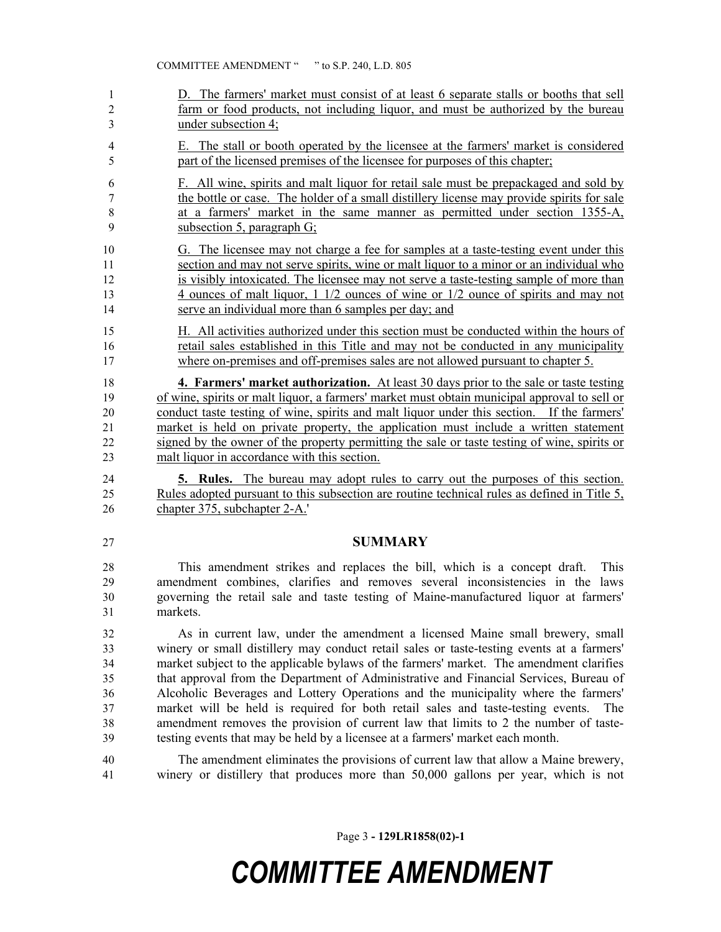- D. The farmers' market must consist of at least 6 separate stalls or booths that sell farm or food products, not including liquor, and must be authorized by the bureau under subsection 4;
- E. The stall or booth operated by the licensee at the farmers' market is considered part of the licensed premises of the licensee for purposes of this chapter;
- F. All wine, spirits and malt liquor for retail sale must be prepackaged and sold by the bottle or case. The holder of a small distillery license may provide spirits for sale at a farmers' market in the same manner as permitted under section 1355-A, subsection 5, paragraph G;
- G. The licensee may not charge a fee for samples at a taste-testing event under this section and may not serve spirits, wine or malt liquor to a minor or an individual who is visibly intoxicated. The licensee may not serve a taste-testing sample of more than 4 ounces of malt liquor, 1 1/2 ounces of wine or 1/2 ounce of spirits and may not serve an individual more than 6 samples per day; and
- H. All activities authorized under this section must be conducted within the hours of retail sales established in this Title and may not be conducted in any municipality 17 where on-premises and off-premises sales are not allowed pursuant to chapter 5.
- **4. Farmers' market authorization.** At least 30 days prior to the sale or taste testing of wine, spirits or malt liquor, a farmers' market must obtain municipal approval to sell or conduct taste testing of wine, spirits and malt liquor under this section. If the farmers' market is held on private property, the application must include a written statement signed by the owner of the property permitting the sale or taste testing of wine, spirits or malt liquor in accordance with this section.
- **5. Rules.** The bureau may adopt rules to carry out the purposes of this section. Rules adopted pursuant to this subsection are routine technical rules as defined in Title 5, chapter 375, subchapter 2-A.'
- 

#### **SUMMARY**

- This amendment strikes and replaces the bill, which is a concept draft. This amendment combines, clarifies and removes several inconsistencies in the laws governing the retail sale and taste testing of Maine-manufactured liquor at farmers' markets.
- As in current law, under the amendment a licensed Maine small brewery, small winery or small distillery may conduct retail sales or taste-testing events at a farmers' market subject to the applicable bylaws of the farmers' market. The amendment clarifies that approval from the Department of Administrative and Financial Services, Bureau of Alcoholic Beverages and Lottery Operations and the municipality where the farmers' market will be held is required for both retail sales and taste-testing events. The amendment removes the provision of current law that limits to 2 the number of taste-testing events that may be held by a licensee at a farmers' market each month.
- The amendment eliminates the provisions of current law that allow a Maine brewery, winery or distillery that produces more than 50,000 gallons per year, which is not

Page 3 **- 129LR1858(02)-1**